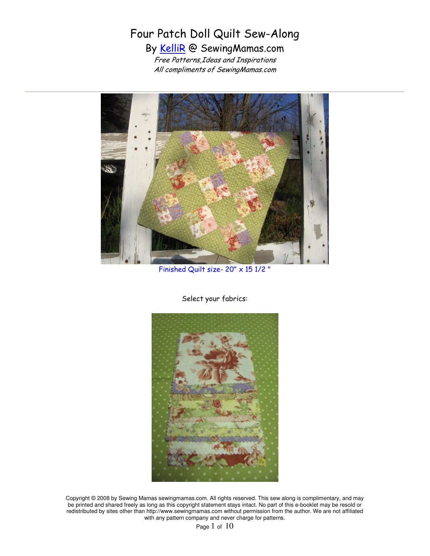## Four Patch Doll Quilt Sew-Along By KelliR @ SewingMamas.com Free Patterns,Ideas and Inspirations

All compliments of SewingMamas.com



Finished Quilt size- 20" x 15 1/2 "

Select your fabrics:



Copyright © 2008 by Sewing Mamas sewingmamas.com. All rights reserved. This sew along is complimentary, and may be printed and shared freely as long as this copyright statement stays intact. No part of this e-booklet may be resold or redistributed by sites other than http://www.sewingmamas.com without permission from the author. We are not affiliated with any pattern company and never charge for patterns.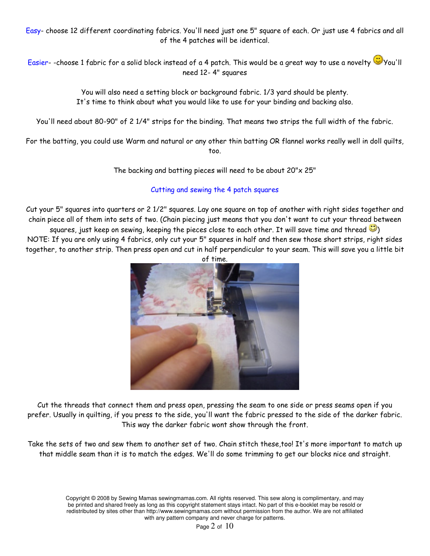Easy- choose 12 different coordinating fabrics. You'll need just one 5" square of each. Or just use 4 fabrics and all of the 4 patches will be identical.

Easier- -choose 1 fabric for a solid block instead of a 4 patch. This would be a great way to use a novelty Wou'll need 12- 4" squares

> You will also need a setting block or background fabric. 1/3 yard should be plenty. It's time to think about what you would like to use for your binding and backing also.

You'll need about 80-90" of 2 1/4" strips for the binding. That means two strips the full width of the fabric.

For the batting, you could use Warm and natural or any other thin batting OR flannel works really well in doll quilts, too.

The backing and batting pieces will need to be about 20"x 25"

## Cutting and sewing the 4 patch squares

Cut your 5" squares into quarters or 2 1/2" squares. Lay one square on top of another with right sides together and chain piece all of them into sets of two. (Chain piecing just means that you don't want to cut your thread between

squares, just keep on sewing, keeping the pieces close to each other. It will save time and thread  $\ddot{\mathbf{C}}$ ) NOTE: If you are only using 4 fabrics, only cut your 5" squares in half and then sew those short strips, right sides together, to another strip. Then press open and cut in half perpendicular to your seam. This will save you a little bit



Cut the threads that connect them and press open, pressing the seam to one side or press seams open if you prefer. Usually in quilting, if you press to the side, you'll want the fabric pressed to the side of the darker fabric. This way the darker fabric wont show through the front.

Take the sets of two and sew them to another set of two. Chain stitch these,too! It's more important to match up that middle seam than it is to match the edges. We'll do some trimming to get our blocks nice and straight.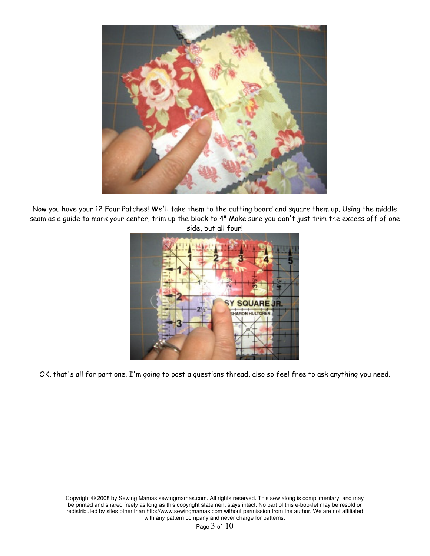

Now you have your 12 Four Patches! We'll take them to the cutting board and square them up. Using the middle seam as a guide to mark your center, trim up the block to 4" Make sure you don't just trim the excess off of one side, but all four!



OK, that's all for part one. I'm going to post a questions thread, also so feel free to ask anything you need.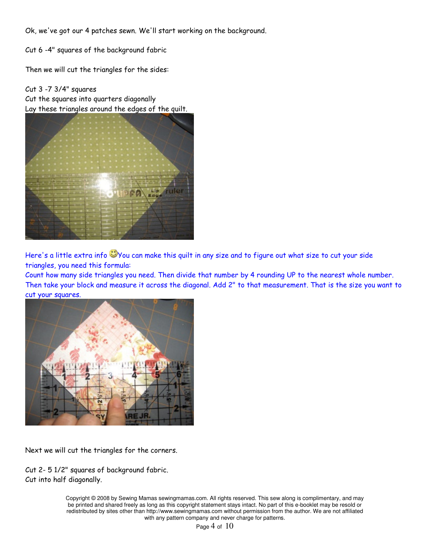Ok, we've got our 4 patches sewn. We'll start working on the background.

Cut 6 -4" squares of the background fabric

Then we will cut the triangles for the sides:

Cut 3 -7 3/4" squares Cut the squares into quarters diagonally Lay these triangles around the edges of the quilt.



Here's a little extra info You can make this quilt in any size and to figure out what size to cut your side triangles, you need this formula:

Count how many side triangles you need. Then divide that number by 4 rounding UP to the nearest whole number. Then take your block and measure it across the diagonal. Add 2" to that measurement. That is the size you want to cut your squares.



Next we will cut the triangles for the corners.

Cut 2- 5 1/2" squares of background fabric. Cut into half diagonally.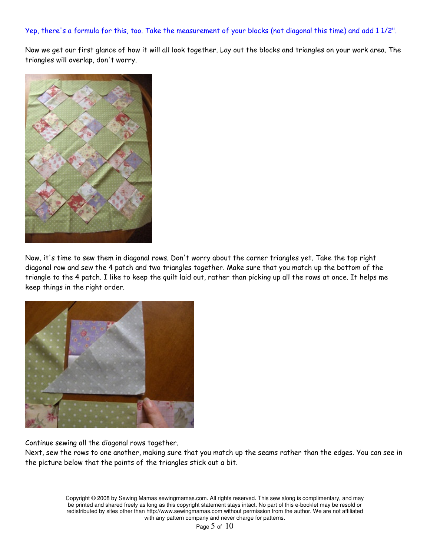## Yep, there's a formula for this, too. Take the measurement of your blocks (not diagonal this time) and add 1 1/2".

Now we get our first glance of how it will all look together. Lay out the blocks and triangles on your work area. The triangles will overlap, don't worry.



Now, it's time to sew them in diagonal rows. Don't worry about the corner triangles yet. Take the top right diagonal row and sew the 4 patch and two triangles together. Make sure that you match up the bottom of the triangle to the 4 patch. I like to keep the quilt laid out, rather than picking up all the rows at once. It helps me keep things in the right order.



Continue sewing all the diagonal rows together.

Next, sew the rows to one another, making sure that you match up the seams rather than the edges. You can see in the picture below that the points of the triangles stick out a bit.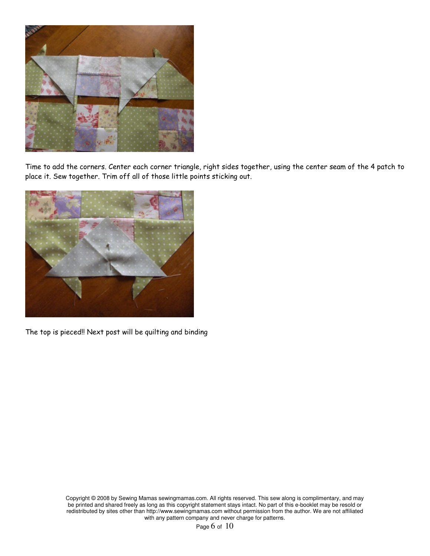

Time to add the corners. Center each corner triangle, right sides together, using the center seam of the 4 patch to place it. Sew together. Trim off all of those little points sticking out.



The top is pieced!! Next post will be quilting and binding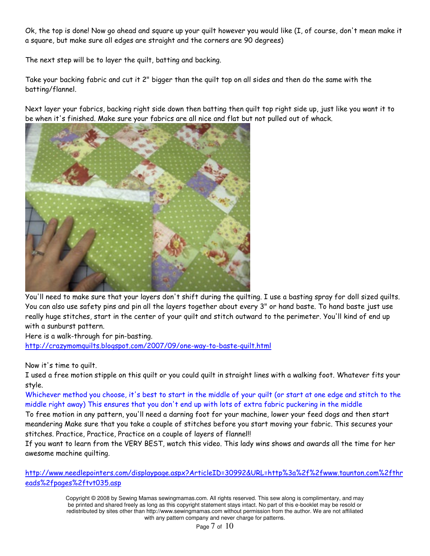Ok, the top is done! Now go ahead and square up your quilt however you would like (I, of course, don't mean make it a square, but make sure all edges are straight and the corners are 90 degrees)

The next step will be to layer the quilt, batting and backing.

Take your backing fabric and cut it 2" bigger than the quilt top on all sides and then do the same with the batting/flannel.

Next layer your fabrics, backing right side down then batting then quilt top right side up, just like you want it to be when it's finished. Make sure your fabrics are all nice and flat but not pulled out of whack.



You'll need to make sure that your layers don't shift during the quilting. I use a basting spray for doll sized quilts. You can also use safety pins and pin all the layers together about every 3" or hand baste. To hand baste just use really huge stitches, start in the center of your quilt and stitch outward to the perimeter. You'll kind of end up with a sunburst pattern.

Here is a walk-through for pin-basting. http://crazymomquilts.blogspot.com/2007/09/one-way-to-baste-quilt.html

Now it's time to quilt.

I used a free motion stipple on this quilt or you could quilt in straight lines with a walking foot. Whatever fits your style.

Whichever method you choose, it's best to start in the middle of your quilt (or start at one edge and stitch to the middle right away) This ensures that you don't end up with lots of extra fabric puckering in the middle

To free motion in any pattern, you'll need a darning foot for your machine, lower your feed dogs and then start meandering Make sure that you take a couple of stitches before you start moving your fabric. This secures your stitches. Practice, Practice, Practice on a couple of layers of flannel!!

If you want to learn from the VERY BEST, watch this video. This lady wins shows and awards all the time for her awesome machine quilting.

http://www.needlepointers.com/displaypage.aspx?ArticleID=30992&URL=http%3a%2f%2fwww.taunton.com%2fthr eads%2fpages%2ftvt035.asp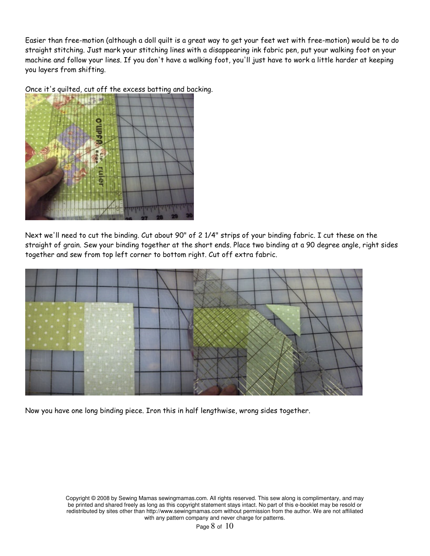Easier than free-motion (although a doll quilt is a great way to get your feet wet with free-motion) would be to do straight stitching. Just mark your stitching lines with a disappearing ink fabric pen, put your walking foot on your machine and follow your lines. If you don't have a walking foot, you'll just have to work a little harder at keeping you layers from shifting.



Once it's quilted, cut off the excess batting and backing.

Next we'll need to cut the binding. Cut about 90" of 2 1/4" strips of your binding fabric. I cut these on the straight of grain. Sew your binding together at the short ends. Place two binding at a 90 degree angle, right sides together and sew from top left corner to bottom right. Cut off extra fabric.



Now you have one long binding piece. Iron this in half lengthwise, wrong sides together.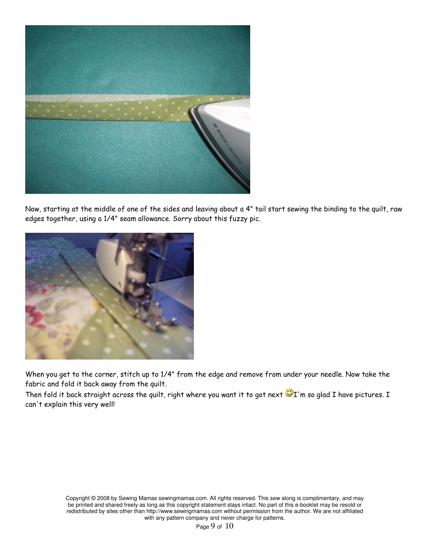

Now, starting at the middle of one of the sides and leaving about a 4" tail start sewing the binding to the quilt, raw edges together, using a 1/4" seam allowance. Sorry about this fuzzy pic.



When you get to the corner, stitch up to 1/4" from the edge and remove from under your needle. Now take the fabric and fold it back away from the quilt.

Then fold it back straight across the quilt, right where you want it to got next  $\bigcirc$ I'm so glad I have pictures. I can't explain this very well!